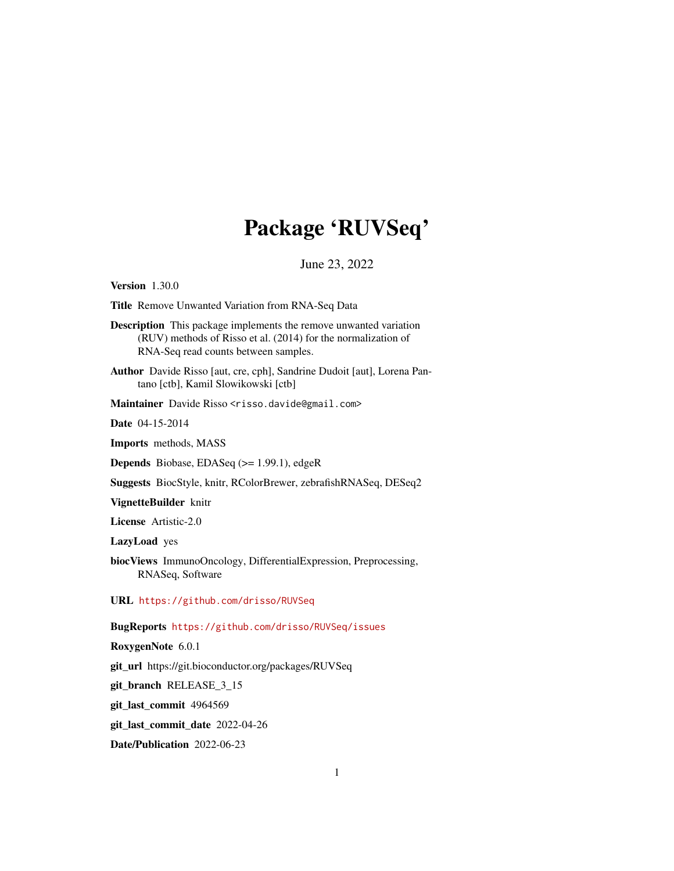## Package 'RUVSeq'

June 23, 2022

<span id="page-0-0"></span>Version 1.30.0

Title Remove Unwanted Variation from RNA-Seq Data

Description This package implements the remove unwanted variation (RUV) methods of Risso et al. (2014) for the normalization of RNA-Seq read counts between samples.

Author Davide Risso [aut, cre, cph], Sandrine Dudoit [aut], Lorena Pantano [ctb], Kamil Slowikowski [ctb]

Maintainer Davide Risso <risso.davide@gmail.com>

Date 04-15-2014

Imports methods, MASS

Depends Biobase, EDASeq (>= 1.99.1), edgeR

Suggests BiocStyle, knitr, RColorBrewer, zebrafishRNASeq, DESeq2

VignetteBuilder knitr

License Artistic-2.0

LazyLoad yes

biocViews ImmunoOncology, DifferentialExpression, Preprocessing, RNASeq, Software

URL <https://github.com/drisso/RUVSeq>

BugReports <https://github.com/drisso/RUVSeq/issues>

RoxygenNote 6.0.1

git\_url https://git.bioconductor.org/packages/RUVSeq

git\_branch RELEASE\_3\_15

git\_last\_commit 4964569

git\_last\_commit\_date 2022-04-26

Date/Publication 2022-06-23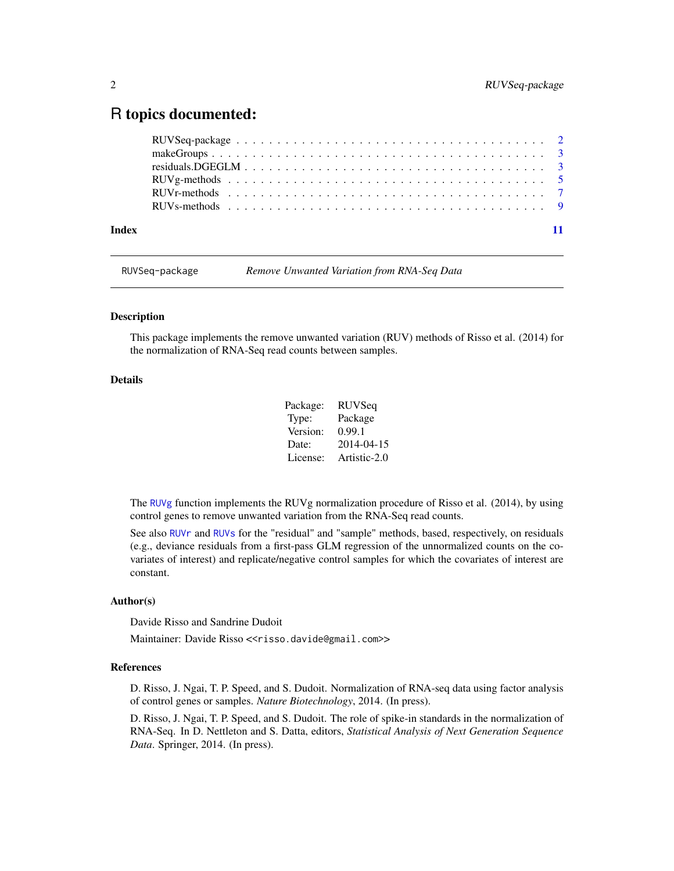### <span id="page-1-0"></span>R topics documented:

| Index |  |  |  |  |  |  |  |  |  |  |  |  |  |  |  |
|-------|--|--|--|--|--|--|--|--|--|--|--|--|--|--|--|

RUVSeq-package *Remove Unwanted Variation from RNA-Seq Data*

#### Description

This package implements the remove unwanted variation (RUV) methods of Risso et al. (2014) for the normalization of RNA-Seq read counts between samples.

#### Details

| Package: | <b>RUVSeq</b> |
|----------|---------------|
| Type:    | Package       |
| Version: | 0.99.1        |
| Date:    | 2014-04-15    |
| License: | Artistic-2.0  |

The [RUVg](#page-4-1) function implements the RUVg normalization procedure of Risso et al. (2014), by using control genes to remove unwanted variation from the RNA-Seq read counts.

See also [RUVr](#page-6-1) and [RUVs](#page-8-1) for the "residual" and "sample" methods, based, respectively, on residuals (e.g., deviance residuals from a first-pass GLM regression of the unnormalized counts on the covariates of interest) and replicate/negative control samples for which the covariates of interest are constant.

#### Author(s)

Davide Risso and Sandrine Dudoit

Maintainer: Davide Risso <<risso.davide@gmail.com>>

#### References

D. Risso, J. Ngai, T. P. Speed, and S. Dudoit. Normalization of RNA-seq data using factor analysis of control genes or samples. *Nature Biotechnology*, 2014. (In press).

D. Risso, J. Ngai, T. P. Speed, and S. Dudoit. The role of spike-in standards in the normalization of RNA-Seq. In D. Nettleton and S. Datta, editors, *Statistical Analysis of Next Generation Sequence Data*. Springer, 2014. (In press).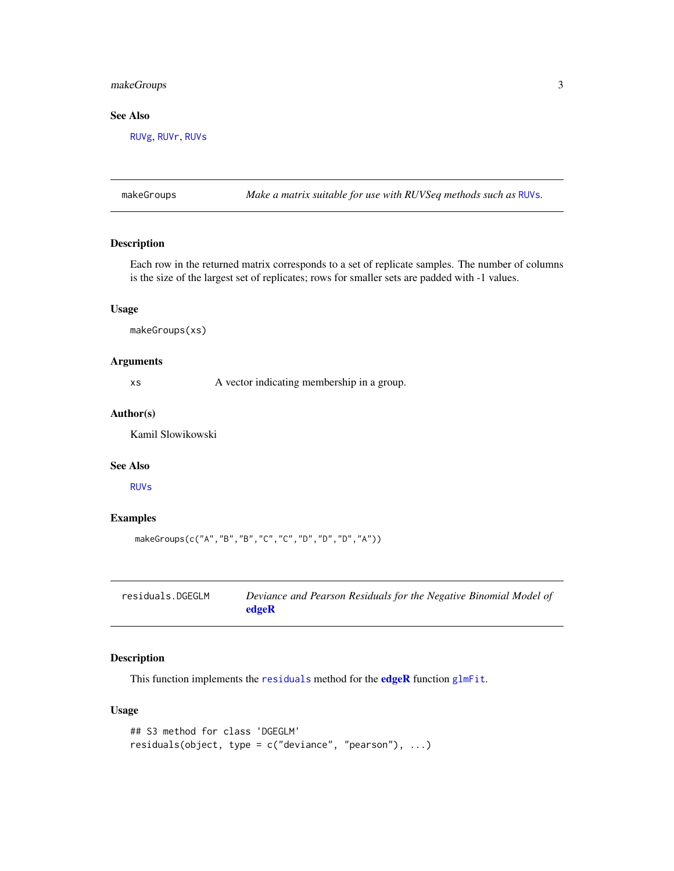#### <span id="page-2-0"></span>makeGroups 3

#### See Also

[RUVg](#page-4-1), [RUVr](#page-6-1), [RUVs](#page-8-1)

makeGroups *Make a matrix suitable for use with RUVSeq methods such as* [RUVs](#page-8-1)*.*

#### Description

Each row in the returned matrix corresponds to a set of replicate samples. The number of columns is the size of the largest set of replicates; rows for smaller sets are padded with -1 values.

#### Usage

makeGroups(xs)

#### Arguments

xs A vector indicating membership in a group.

#### Author(s)

Kamil Slowikowski

#### See Also

[RUVs](#page-8-1)

#### Examples

makeGroups(c("A","B","B","C","C","D","D","D","A"))

| residuals.DGEGLM | Deviance and Pearson Residuals for the Negative Binomial Model of |
|------------------|-------------------------------------------------------------------|
|                  | edgeR                                                             |

#### Description

This function implements the [residuals](#page-0-0) method for the [edgeR](#page-0-0) function [glmFit](#page-0-0).

#### Usage

```
## S3 method for class 'DGEGLM'
residuals(object, type = c("deviance", "pearson"), ...)
```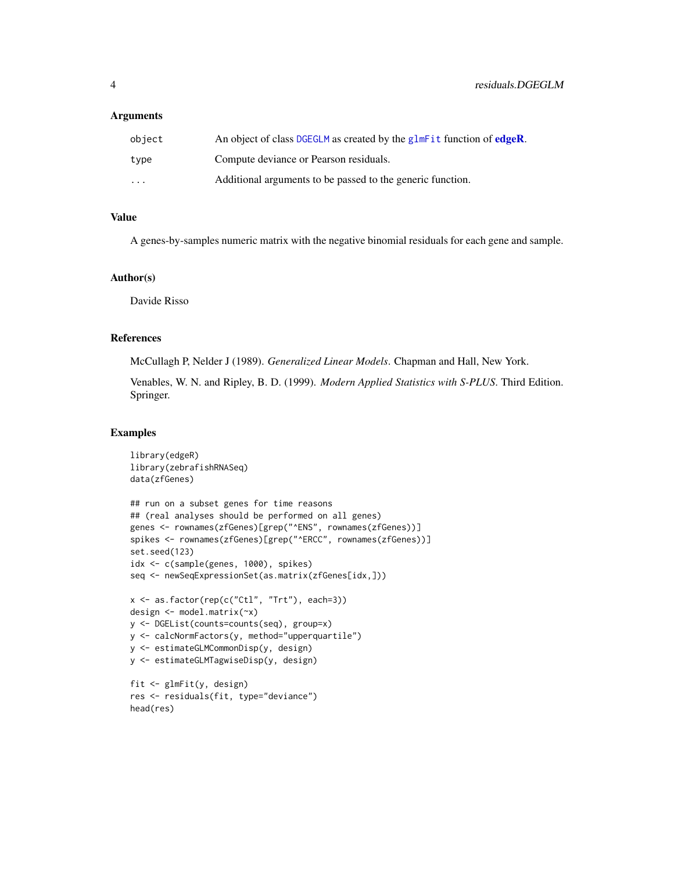#### <span id="page-3-0"></span>**Arguments**

| obiect                  | An object of class DGEGLM as created by the glmFit function of edgeR. |
|-------------------------|-----------------------------------------------------------------------|
| type                    | Compute deviance or Pearson residuals.                                |
| $\cdot$ $\cdot$ $\cdot$ | Additional arguments to be passed to the generic function.            |

#### Value

A genes-by-samples numeric matrix with the negative binomial residuals for each gene and sample.

#### Author(s)

Davide Risso

#### References

McCullagh P, Nelder J (1989). *Generalized Linear Models*. Chapman and Hall, New York.

Venables, W. N. and Ripley, B. D. (1999). *Modern Applied Statistics with S-PLUS*. Third Edition. Springer.

#### Examples

```
library(edgeR)
library(zebrafishRNASeq)
data(zfGenes)
## run on a subset genes for time reasons
## (real analyses should be performed on all genes)
genes <- rownames(zfGenes)[grep("^ENS", rownames(zfGenes))]
spikes <- rownames(zfGenes)[grep("^ERCC", rownames(zfGenes))]
set.seed(123)
idx <- c(sample(genes, 1000), spikes)
seq <- newSeqExpressionSet(as.matrix(zfGenes[idx,]))
x <- as.factor(rep(c("Ctl", "Trt"), each=3))
design <- model.matrix(~x)
y <- DGEList(counts=counts(seq), group=x)
y <- calcNormFactors(y, method="upperquartile")
y <- estimateGLMCommonDisp(y, design)
y <- estimateGLMTagwiseDisp(y, design)
fit <- glmFit(y, design)
res <- residuals(fit, type="deviance")
head(res)
```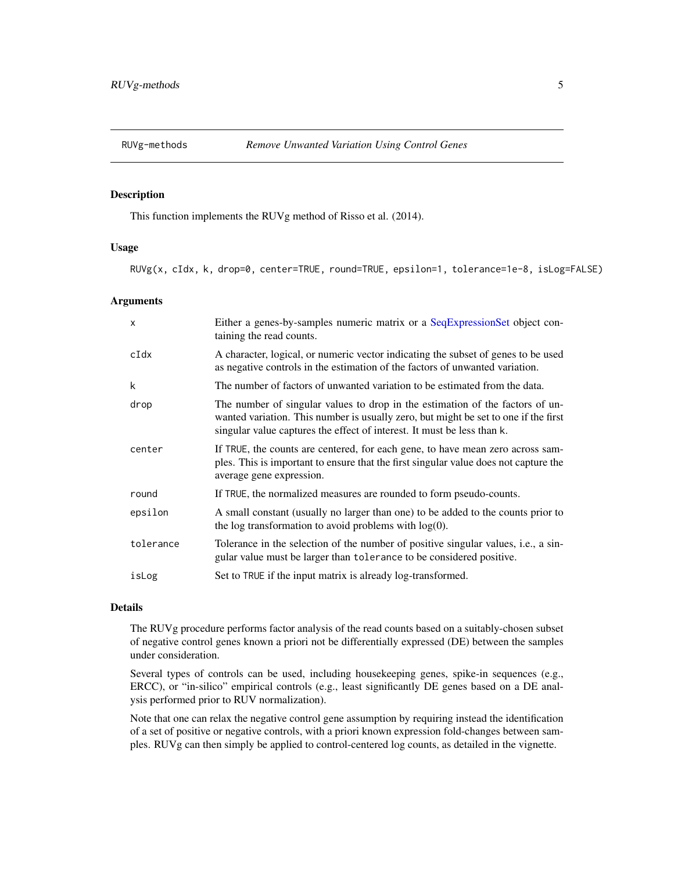<span id="page-4-0"></span>

#### <span id="page-4-1"></span>Description

This function implements the RUVg method of Risso et al. (2014).

#### Usage

RUVg(x, cIdx, k, drop=0, center=TRUE, round=TRUE, epsilon=1, tolerance=1e-8, isLog=FALSE)

#### **Arguments**

| X         | Either a genes-by-samples numeric matrix or a SeqExpressionSet object con-<br>taining the read counts.                                                                                                                                          |
|-----------|-------------------------------------------------------------------------------------------------------------------------------------------------------------------------------------------------------------------------------------------------|
| $c$ Idx   | A character, logical, or numeric vector indicating the subset of genes to be used<br>as negative controls in the estimation of the factors of unwanted variation.                                                                               |
| k         | The number of factors of unwanted variation to be estimated from the data.                                                                                                                                                                      |
| drop      | The number of singular values to drop in the estimation of the factors of un-<br>wanted variation. This number is usually zero, but might be set to one if the first<br>singular value captures the effect of interest. It must be less than k. |
| center    | If TRUE, the counts are centered, for each gene, to have mean zero across sam-<br>ples. This is important to ensure that the first singular value does not capture the<br>average gene expression.                                              |
| round     | If TRUE, the normalized measures are rounded to form pseudo-counts.                                                                                                                                                                             |
| epsilon   | A small constant (usually no larger than one) to be added to the counts prior to<br>the log transformation to avoid problems with $log(0)$ .                                                                                                    |
| tolerance | Tolerance in the selection of the number of positive singular values, i.e., a sin-<br>gular value must be larger than tolerance to be considered positive.                                                                                      |
| isLog     | Set to TRUE if the input matrix is already log-transformed.                                                                                                                                                                                     |

#### Details

The RUVg procedure performs factor analysis of the read counts based on a suitably-chosen subset of negative control genes known a priori not be differentially expressed (DE) between the samples under consideration.

Several types of controls can be used, including housekeeping genes, spike-in sequences (e.g., ERCC), or "in-silico" empirical controls (e.g., least significantly DE genes based on a DE analysis performed prior to RUV normalization).

Note that one can relax the negative control gene assumption by requiring instead the identification of a set of positive or negative controls, with a priori known expression fold-changes between samples. RUVg can then simply be applied to control-centered log counts, as detailed in the vignette.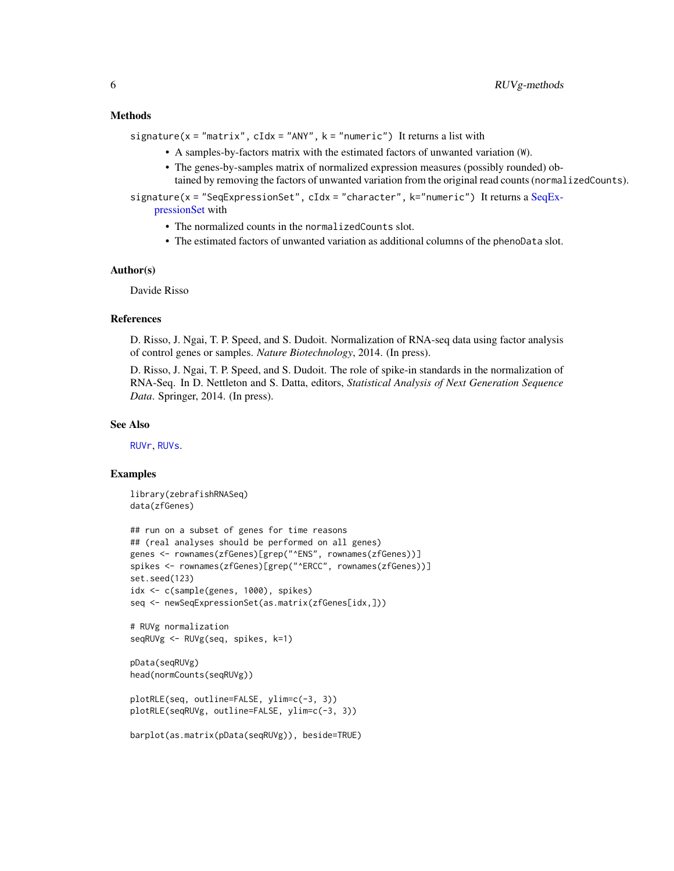#### <span id="page-5-0"></span>Methods

signature( $x = "matrix"$ ,  $cIdx = "ANY"$ ,  $k = "numeric"$ ) It returns a list with

- A samples-by-factors matrix with the estimated factors of unwanted variation (W).
- The genes-by-samples matrix of normalized expression measures (possibly rounded) obtained by removing the factors of unwanted variation from the original read counts (normalizedCounts).

signature(x = "SeqExpressionSet", cIdx = "character", k="numeric") It returns a [SeqEx](#page-0-0)[pressionSet](#page-0-0) with

- The normalized counts in the normalizedCounts slot.
- The estimated factors of unwanted variation as additional columns of the phenoData slot.

#### Author(s)

Davide Risso

#### References

D. Risso, J. Ngai, T. P. Speed, and S. Dudoit. Normalization of RNA-seq data using factor analysis of control genes or samples. *Nature Biotechnology*, 2014. (In press).

D. Risso, J. Ngai, T. P. Speed, and S. Dudoit. The role of spike-in standards in the normalization of RNA-Seq. In D. Nettleton and S. Datta, editors, *Statistical Analysis of Next Generation Sequence Data*. Springer, 2014. (In press).

#### See Also

[RUVr](#page-6-1), [RUVs](#page-8-1).

#### Examples

library(zebrafishRNASeq) data(zfGenes)

```
## run on a subset of genes for time reasons
## (real analyses should be performed on all genes)
genes <- rownames(zfGenes)[grep("^ENS", rownames(zfGenes))]
spikes <- rownames(zfGenes)[grep("^ERCC", rownames(zfGenes))]
set.seed(123)
idx <- c(sample(genes, 1000), spikes)
seq <- newSeqExpressionSet(as.matrix(zfGenes[idx,]))
```

```
# RUVg normalization
seqRUVg <- RUVg(seq, spikes, k=1)
```

```
pData(seqRUVg)
head(normCounts(seqRUVg))
```

```
plotRLE(seq, outline=FALSE, ylim=c(-3, 3))
plotRLE(seqRUVg, outline=FALSE, ylim=c(-3, 3))
```

```
barplot(as.matrix(pData(seqRUVg)), beside=TRUE)
```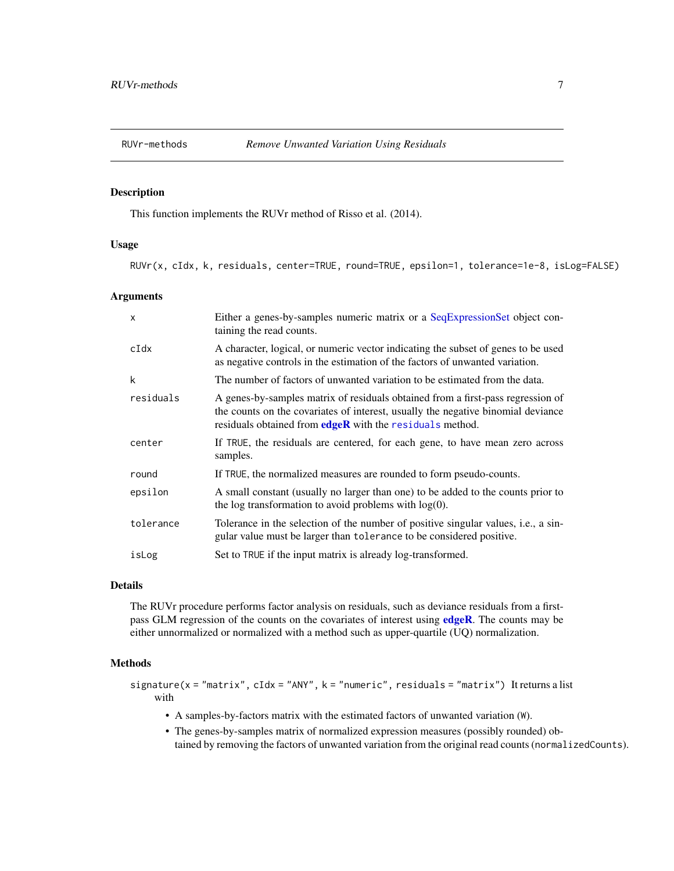<span id="page-6-0"></span>

#### <span id="page-6-1"></span>Description

This function implements the RUVr method of Risso et al. (2014).

#### Usage

RUVr(x, cIdx, k, residuals, center=TRUE, round=TRUE, epsilon=1, tolerance=1e-8, isLog=FALSE)

#### Arguments

| $\mathsf{x}$ | Either a genes-by-samples numeric matrix or a SeqExpressionSet object con-<br>taining the read counts.                                                                                                                           |
|--------------|----------------------------------------------------------------------------------------------------------------------------------------------------------------------------------------------------------------------------------|
| cIdx         | A character, logical, or numeric vector indicating the subset of genes to be used<br>as negative controls in the estimation of the factors of unwanted variation.                                                                |
| k            | The number of factors of unwanted variation to be estimated from the data.                                                                                                                                                       |
| residuals    | A genes-by-samples matrix of residuals obtained from a first-pass regression of<br>the counts on the covariates of interest, usually the negative binomial deviance<br>residuals obtained from $edge$ with the residuals method. |
| center       | If TRUE, the residuals are centered, for each gene, to have mean zero across<br>samples.                                                                                                                                         |
| round        | If TRUE, the normalized measures are rounded to form pseudo-counts.                                                                                                                                                              |
| epsilon      | A small constant (usually no larger than one) to be added to the counts prior to<br>the log transformation to avoid problems with $log(0)$ .                                                                                     |
| tolerance    | Tolerance in the selection of the number of positive singular values, i.e., a sin-<br>gular value must be larger than tolerance to be considered positive.                                                                       |
| isLog        | Set to TRUE if the input matrix is already log-transformed.                                                                                                                                                                      |

#### Details

The RUVr procedure performs factor analysis on residuals, such as deviance residuals from a firstpass GLM regression of the counts on the covariates of interest using [edgeR](#page-0-0). The counts may be either unnormalized or normalized with a method such as upper-quartile (UQ) normalization.

#### Methods

signature( $x = "matrix", cIdx = "ANY", k = "numeric", residuals = "matrix")$  It returns a list with

- A samples-by-factors matrix with the estimated factors of unwanted variation (W).
- The genes-by-samples matrix of normalized expression measures (possibly rounded) obtained by removing the factors of unwanted variation from the original read counts (normalizedCounts).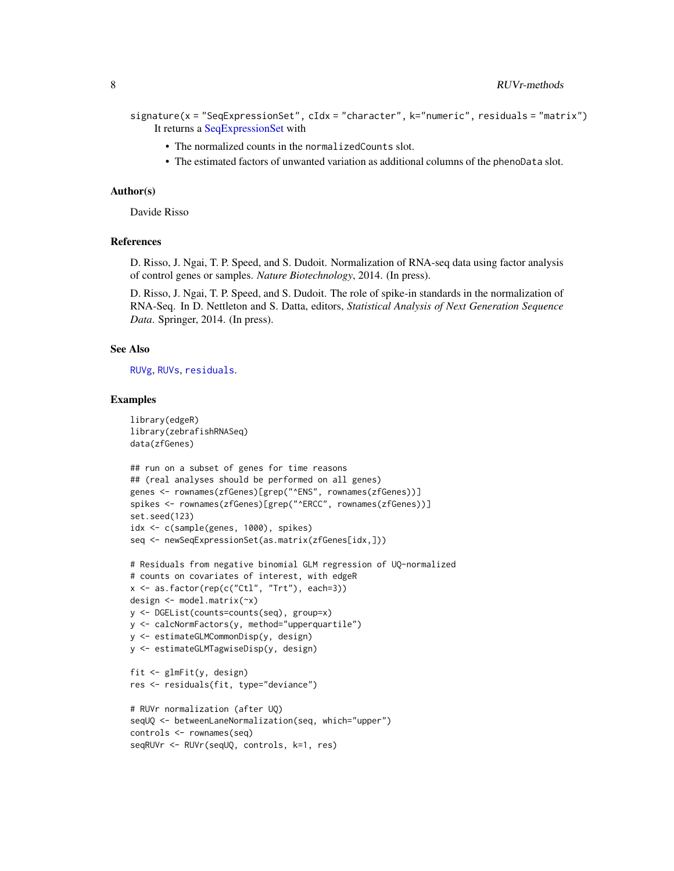```
signature(x = "SeqExpressionSet", cIdx = "character", k="numeric", residuals = "matrix")
    It returns a SeqExpressionSet with
```
- The normalized counts in the normalizedCounts slot.
- The estimated factors of unwanted variation as additional columns of the phenoData slot.

#### Author(s)

Davide Risso

#### References

D. Risso, J. Ngai, T. P. Speed, and S. Dudoit. Normalization of RNA-seq data using factor analysis of control genes or samples. *Nature Biotechnology*, 2014. (In press).

D. Risso, J. Ngai, T. P. Speed, and S. Dudoit. The role of spike-in standards in the normalization of RNA-Seq. In D. Nettleton and S. Datta, editors, *Statistical Analysis of Next Generation Sequence Data*. Springer, 2014. (In press).

#### See Also

[RUVg](#page-4-1), [RUVs](#page-8-1), [residuals](#page-0-0).

#### Examples

```
library(edgeR)
library(zebrafishRNASeq)
data(zfGenes)
## run on a subset of genes for time reasons
## (real analyses should be performed on all genes)
genes <- rownames(zfGenes)[grep("^ENS", rownames(zfGenes))]
spikes <- rownames(zfGenes)[grep("^ERCC", rownames(zfGenes))]
set.seed(123)
idx <- c(sample(genes, 1000), spikes)
seq <- newSeqExpressionSet(as.matrix(zfGenes[idx,]))
# Residuals from negative binomial GLM regression of UQ-normalized
# counts on covariates of interest, with edgeR
x <- as.factor(rep(c("Ctl", "Trt"), each=3))
design <- model.matrix(~x)
y <- DGEList(counts=counts(seq), group=x)
y <- calcNormFactors(y, method="upperquartile")
y <- estimateGLMCommonDisp(y, design)
y <- estimateGLMTagwiseDisp(y, design)
fit <- glmFit(y, design)
res <- residuals(fit, type="deviance")
# RUVr normalization (after UQ)
seqUQ <- betweenLaneNormalization(seq, which="upper")
controls <- rownames(seq)
seqRUVr <- RUVr(seqUQ, controls, k=1, res)
```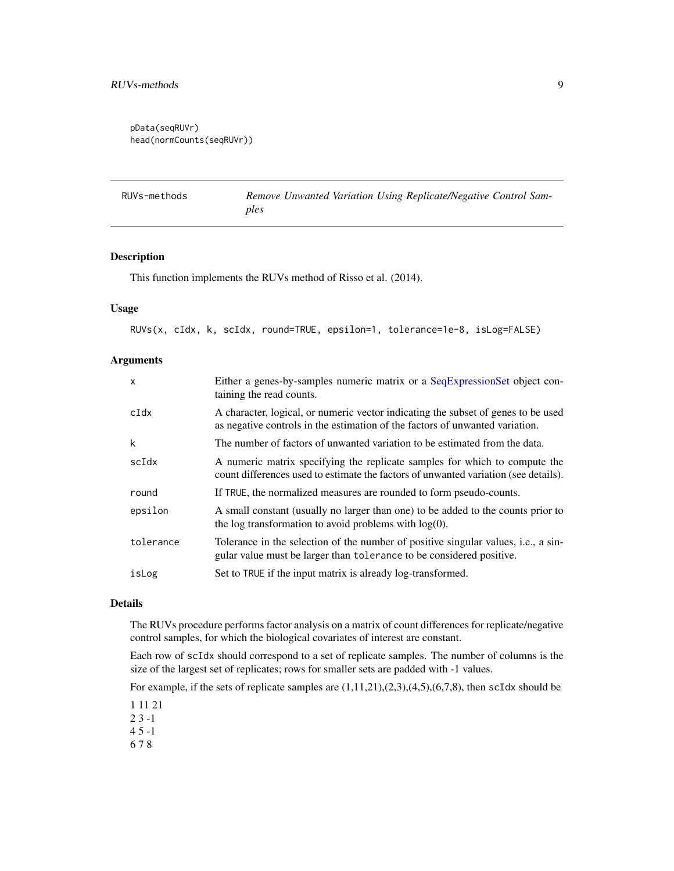#### <span id="page-8-0"></span>RUVs-methods 9

```
pData(seqRUVr)
head(normCounts(seqRUVr))
```

| RUVs-methods | Remove Unwanted Variation Using Replicate/Negative Control Sam- |
|--------------|-----------------------------------------------------------------|
|              | ples                                                            |

#### <span id="page-8-1"></span>Description

This function implements the RUVs method of Risso et al. (2014).

#### Usage

RUVs(x, cIdx, k, scIdx, round=TRUE, epsilon=1, tolerance=1e-8, isLog=FALSE)

#### Arguments

| $\mathsf{x}$ | Either a genes-by-samples numeric matrix or a SeqExpressionSet object con-<br>taining the read counts.                                                             |
|--------------|--------------------------------------------------------------------------------------------------------------------------------------------------------------------|
| $c$ Idx      | A character, logical, or numeric vector indicating the subset of genes to be used<br>as negative controls in the estimation of the factors of unwanted variation.  |
| $\mathsf{k}$ | The number of factors of unwanted variation to be estimated from the data.                                                                                         |
| scIdx        | A numeric matrix specifying the replicate samples for which to compute the<br>count differences used to estimate the factors of unwanted variation (see details).  |
| round        | If TRUE, the normalized measures are rounded to form pseudo-counts.                                                                                                |
| epsilon      | A small constant (usually no larger than one) to be added to the counts prior to<br>the log transformation to avoid problems with $log(0)$ .                       |
| tolerance    | Tolerance in the selection of the number of positive singular values, <i>i.e.</i> , a sin-<br>gular value must be larger than tolerance to be considered positive. |
| isLog        | Set to TRUE if the input matrix is already log-transformed.                                                                                                        |

#### Details

The RUVs procedure performs factor analysis on a matrix of count differences for replicate/negative control samples, for which the biological covariates of interest are constant.

Each row of scIdx should correspond to a set of replicate samples. The number of columns is the size of the largest set of replicates; rows for smaller sets are padded with -1 values.

For example, if the sets of replicate samples are  $(1,11,21)$ , $(2,3)$ , $(4,5)$ , $(6,7,8)$ , then scIdx should be

1 11 21

- 2 3 -1
- 4 5 -1
- 6 7 8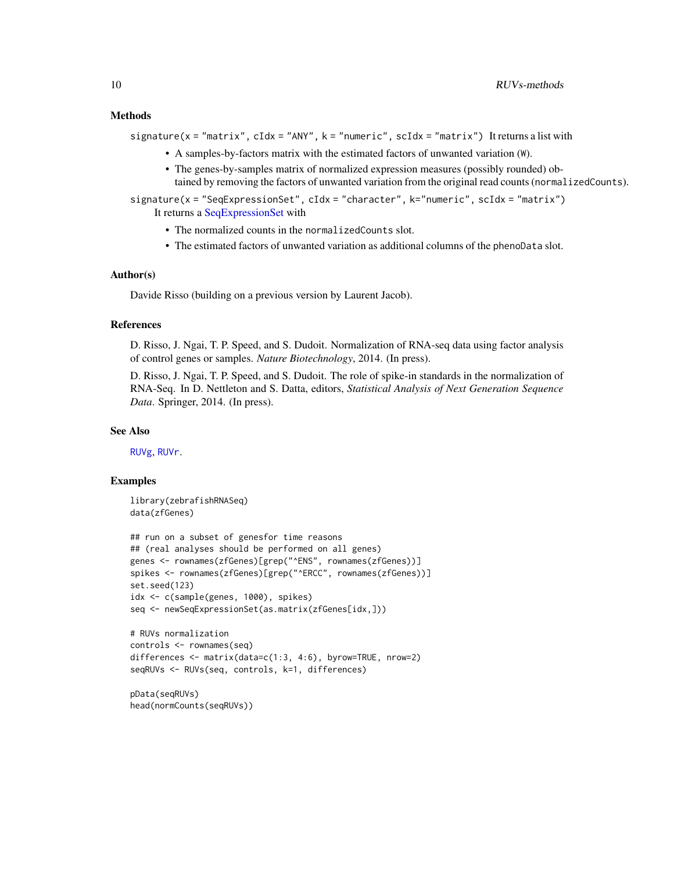#### <span id="page-9-0"></span>Methods

```
signature(x = "matrix", cIdx = "ANY", k = "numeric", scIdx = "matrix") It returns a list with
```
- A samples-by-factors matrix with the estimated factors of unwanted variation (W).
- The genes-by-samples matrix of normalized expression measures (possibly rounded) obtained by removing the factors of unwanted variation from the original read counts (normalizedCounts).

signature(x = "SeqExpressionSet", cIdx = "character", k="numeric", scIdx = "matrix") It returns a [SeqExpressionSet](#page-0-0) with

- The normalized counts in the normalizedCounts slot.
- The estimated factors of unwanted variation as additional columns of the phenoData slot.

#### Author(s)

Davide Risso (building on a previous version by Laurent Jacob).

#### References

D. Risso, J. Ngai, T. P. Speed, and S. Dudoit. Normalization of RNA-seq data using factor analysis of control genes or samples. *Nature Biotechnology*, 2014. (In press).

D. Risso, J. Ngai, T. P. Speed, and S. Dudoit. The role of spike-in standards in the normalization of RNA-Seq. In D. Nettleton and S. Datta, editors, *Statistical Analysis of Next Generation Sequence Data*. Springer, 2014. (In press).

#### See Also

[RUVg](#page-4-1), [RUVr](#page-6-1).

#### Examples

```
library(zebrafishRNASeq)
data(zfGenes)
```

```
## run on a subset of genesfor time reasons
## (real analyses should be performed on all genes)
genes <- rownames(zfGenes)[grep("^ENS", rownames(zfGenes))]
spikes <- rownames(zfGenes)[grep("^ERCC", rownames(zfGenes))]
set.seed(123)
idx <- c(sample(genes, 1000), spikes)
seq <- newSeqExpressionSet(as.matrix(zfGenes[idx,]))
```

```
# RUVs normalization
controls <- rownames(seq)
differences <- matrix(data=c(1:3, 4:6), byrow=TRUE, nrow=2)
seqRUVs <- RUVs(seq, controls, k=1, differences)
```
pData(seqRUVs) head(normCounts(seqRUVs))